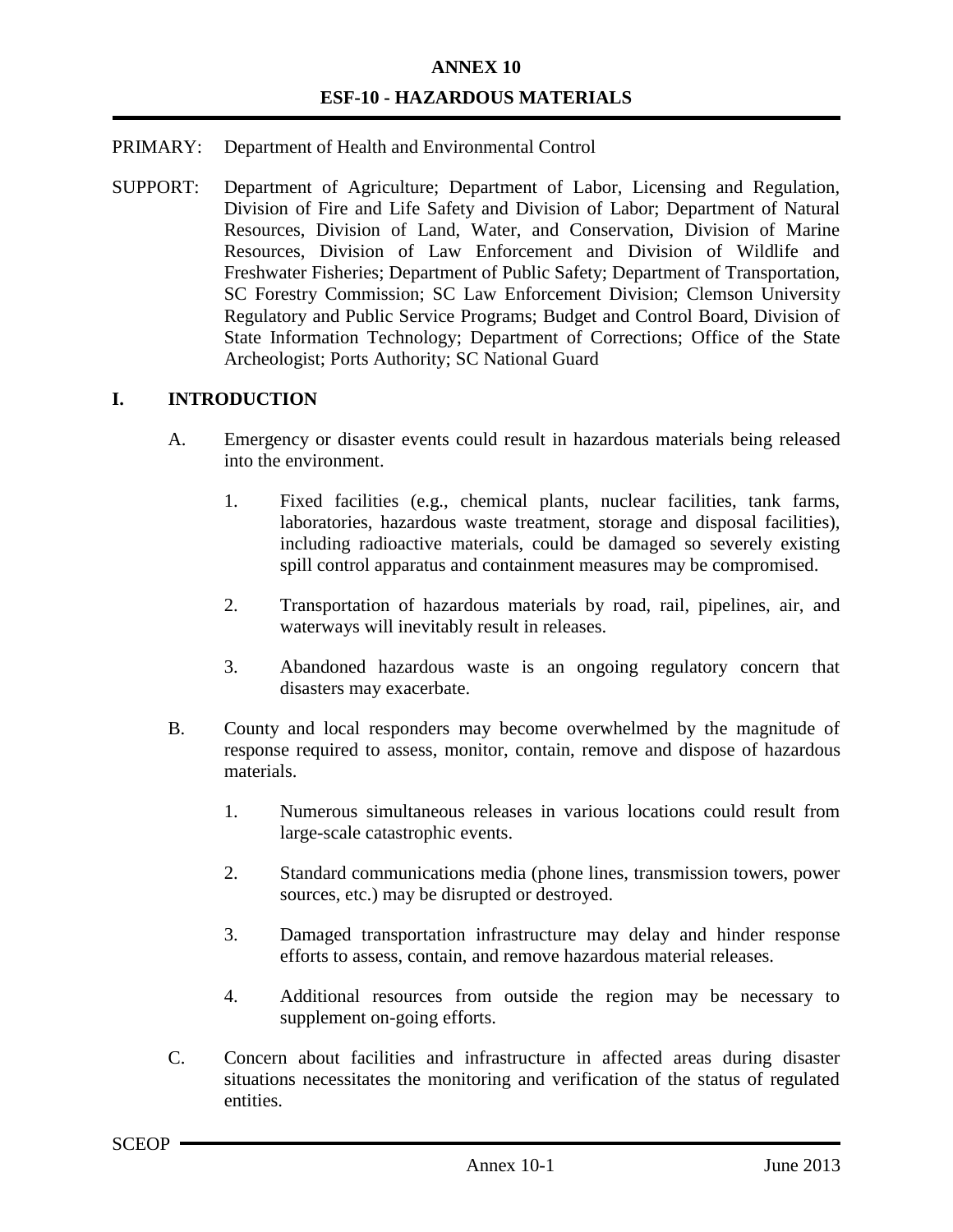# **ANNEX 10 ESF-10 - HAZARDOUS MATERIALS**

#### PRIMARY: Department of Health and Environmental Control

SUPPORT: Department of Agriculture; Department of Labor, Licensing and Regulation, Division of Fire and Life Safety and Division of Labor; Department of Natural Resources, Division of Land, Water, and Conservation, Division of Marine Resources, Division of Law Enforcement and Division of Wildlife and Freshwater Fisheries; Department of Public Safety; Department of Transportation, SC Forestry Commission; SC Law Enforcement Division; Clemson University Regulatory and Public Service Programs; Budget and Control Board, Division of State Information Technology; Department of Corrections; Office of the State Archeologist; Ports Authority; SC National Guard

#### **I. INTRODUCTION**

- A. Emergency or disaster events could result in hazardous materials being released into the environment.
	- 1. Fixed facilities (e.g., chemical plants, nuclear facilities, tank farms, laboratories, hazardous waste treatment, storage and disposal facilities), including radioactive materials, could be damaged so severely existing spill control apparatus and containment measures may be compromised.
	- 2. Transportation of hazardous materials by road, rail, pipelines, air, and waterways will inevitably result in releases.
	- 3. Abandoned hazardous waste is an ongoing regulatory concern that disasters may exacerbate.
- B. County and local responders may become overwhelmed by the magnitude of response required to assess, monitor, contain, remove and dispose of hazardous materials.
	- 1. Numerous simultaneous releases in various locations could result from large-scale catastrophic events.
	- 2. Standard communications media (phone lines, transmission towers, power sources, etc.) may be disrupted or destroyed.
	- 3. Damaged transportation infrastructure may delay and hinder response efforts to assess, contain, and remove hazardous material releases.
	- 4. Additional resources from outside the region may be necessary to supplement on-going efforts.
- C. Concern about facilities and infrastructure in affected areas during disaster situations necessitates the monitoring and verification of the status of regulated entities.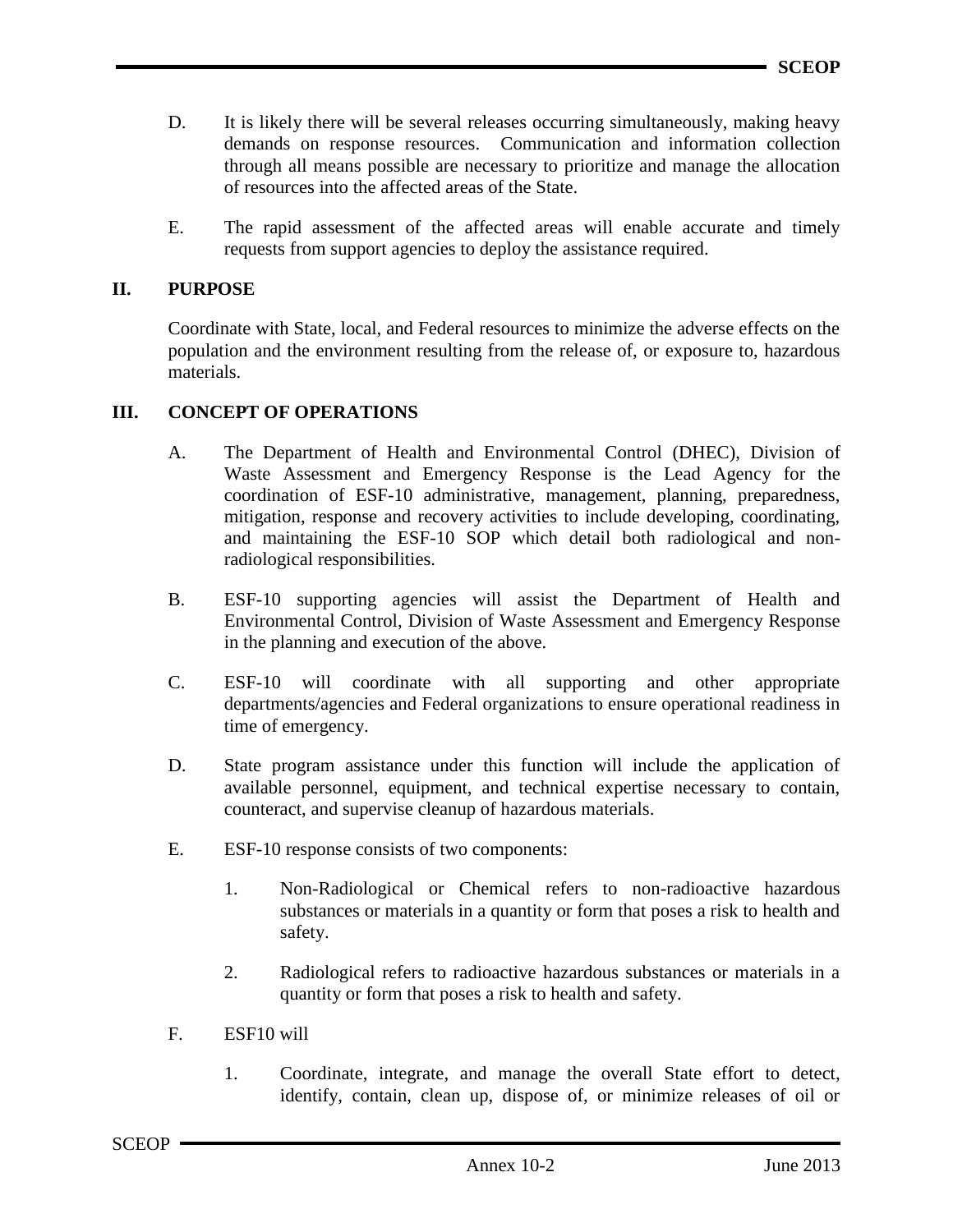- D. It is likely there will be several releases occurring simultaneously, making heavy demands on response resources. Communication and information collection through all means possible are necessary to prioritize and manage the allocation of resources into the affected areas of the State.
- E. The rapid assessment of the affected areas will enable accurate and timely requests from support agencies to deploy the assistance required.

#### **II. PURPOSE**

Coordinate with State, local, and Federal resources to minimize the adverse effects on the population and the environment resulting from the release of, or exposure to, hazardous materials.

## **III. CONCEPT OF OPERATIONS**

- A. The Department of Health and Environmental Control (DHEC), Division of Waste Assessment and Emergency Response is the Lead Agency for the coordination of ESF-10 administrative, management, planning, preparedness, mitigation, response and recovery activities to include developing, coordinating, and maintaining the ESF-10 SOP which detail both radiological and nonradiological responsibilities.
- B. ESF-10 supporting agencies will assist the Department of Health and Environmental Control, Division of Waste Assessment and Emergency Response in the planning and execution of the above.
- C. ESF-10 will coordinate with all supporting and other appropriate departments/agencies and Federal organizations to ensure operational readiness in time of emergency.
- D. State program assistance under this function will include the application of available personnel, equipment, and technical expertise necessary to contain, counteract, and supervise cleanup of hazardous materials.
- E. ESF-10 response consists of two components:
	- 1. Non-Radiological or Chemical refers to non-radioactive hazardous substances or materials in a quantity or form that poses a risk to health and safety.
	- 2. Radiological refers to radioactive hazardous substances or materials in a quantity or form that poses a risk to health and safety.
- F. ESF10 will
	- 1. Coordinate, integrate, and manage the overall State effort to detect, identify, contain, clean up, dispose of, or minimize releases of oil or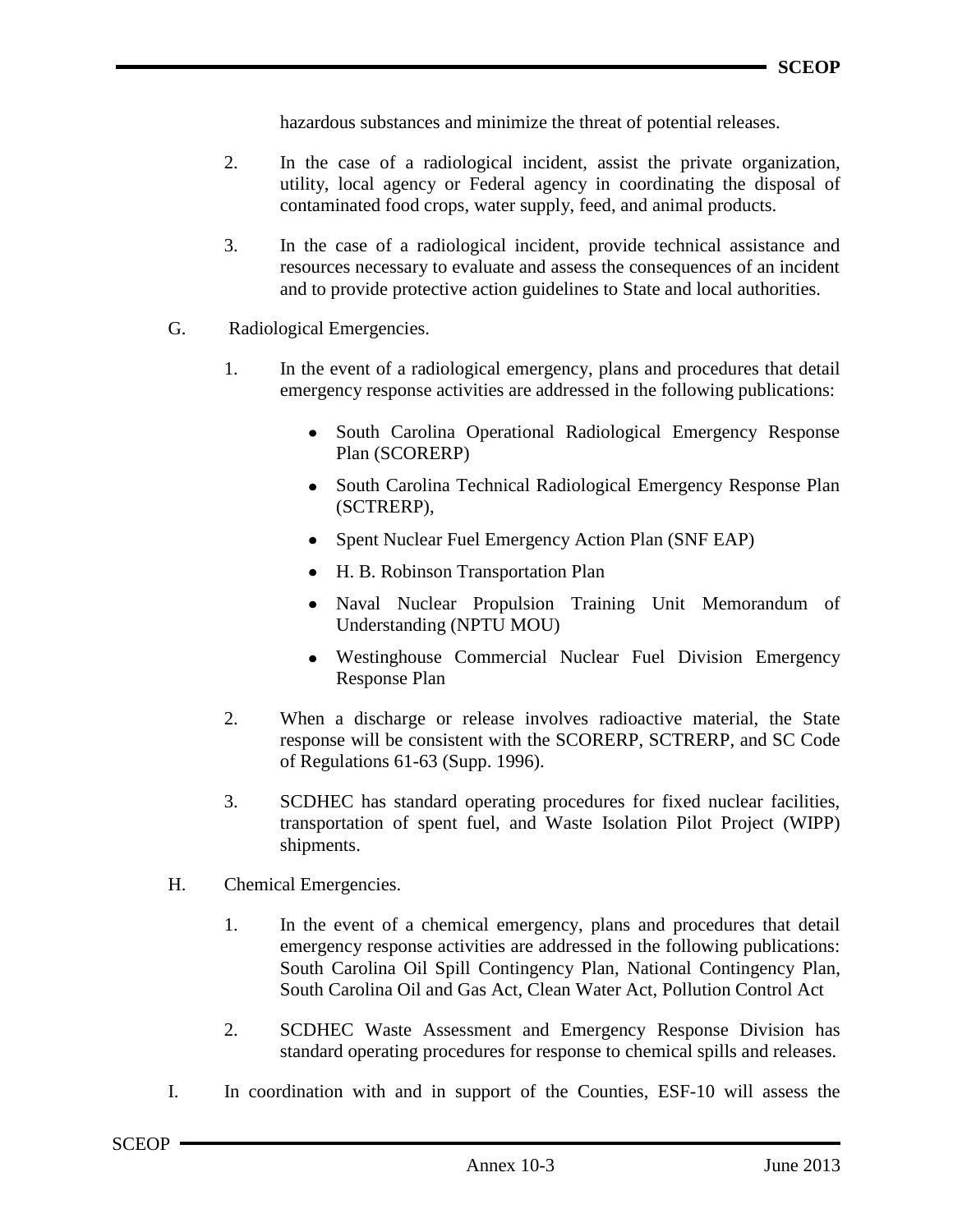hazardous substances and minimize the threat of potential releases.

- 2. In the case of a radiological incident, assist the private organization, utility, local agency or Federal agency in coordinating the disposal of contaminated food crops, water supply, feed, and animal products.
- 3. In the case of a radiological incident, provide technical assistance and resources necessary to evaluate and assess the consequences of an incident and to provide protective action guidelines to State and local authorities.
- G. Radiological Emergencies.
	- 1. In the event of a radiological emergency, plans and procedures that detail emergency response activities are addressed in the following publications:
		- South Carolina Operational Radiological Emergency Response Plan (SCORERP)
		- South Carolina Technical Radiological Emergency Response Plan (SCTRERP),
		- Spent Nuclear Fuel Emergency Action Plan (SNF EAP)
		- H. B. Robinson Transportation Plan
		- Naval Nuclear Propulsion Training Unit Memorandum of Understanding (NPTU MOU)
		- Westinghouse Commercial Nuclear Fuel Division Emergency Response Plan
	- 2. When a discharge or release involves radioactive material, the State response will be consistent with the SCORERP, SCTRERP, and SC Code of Regulations 61-63 (Supp. 1996).
	- 3. SCDHEC has standard operating procedures for fixed nuclear facilities, transportation of spent fuel, and Waste Isolation Pilot Project (WIPP) shipments.
- H. Chemical Emergencies.
	- 1. In the event of a chemical emergency, plans and procedures that detail emergency response activities are addressed in the following publications: South Carolina Oil Spill Contingency Plan, National Contingency Plan, South Carolina Oil and Gas Act, Clean Water Act, Pollution Control Act
	- 2. SCDHEC Waste Assessment and Emergency Response Division has standard operating procedures for response to chemical spills and releases.
- I. In coordination with and in support of the Counties, ESF-10 will assess the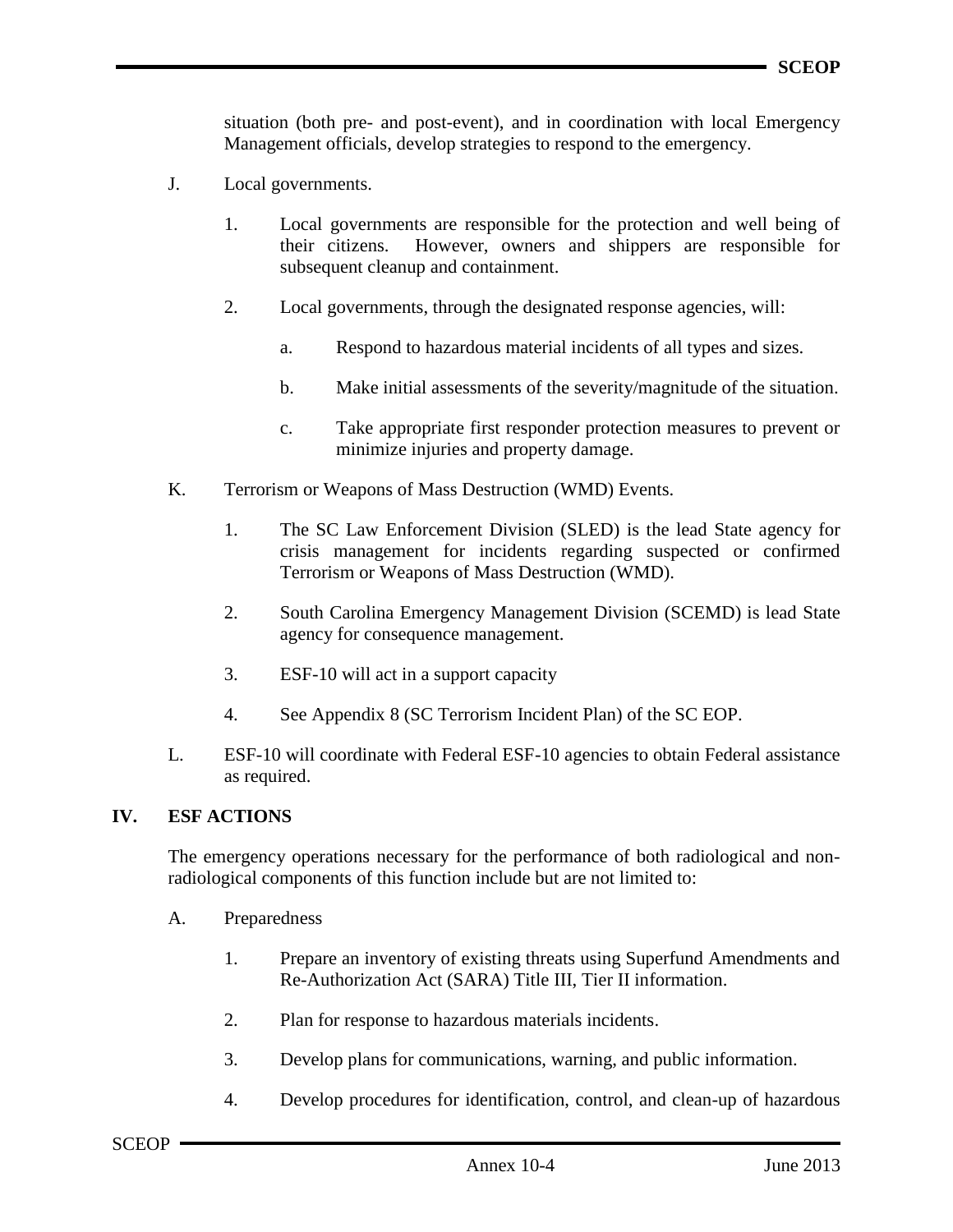situation (both pre- and post-event), and in coordination with local Emergency Management officials, develop strategies to respond to the emergency.

- J. Local governments.
	- 1. Local governments are responsible for the protection and well being of their citizens. However, owners and shippers are responsible for subsequent cleanup and containment.
	- 2. Local governments, through the designated response agencies, will:
		- a. Respond to hazardous material incidents of all types and sizes.
		- b. Make initial assessments of the severity/magnitude of the situation.
		- c. Take appropriate first responder protection measures to prevent or minimize injuries and property damage.
- K. Terrorism or Weapons of Mass Destruction (WMD) Events.
	- 1. The SC Law Enforcement Division (SLED) is the lead State agency for crisis management for incidents regarding suspected or confirmed Terrorism or Weapons of Mass Destruction (WMD).
	- 2. South Carolina Emergency Management Division (SCEMD) is lead State agency for consequence management.
	- 3. ESF-10 will act in a support capacity
	- 4. See Appendix 8 (SC Terrorism Incident Plan) of the SC EOP.
- L. ESF-10 will coordinate with Federal ESF-10 agencies to obtain Federal assistance as required.

## **IV. ESF ACTIONS**

The emergency operations necessary for the performance of both radiological and nonradiological components of this function include but are not limited to:

- A. Preparedness
	- 1. Prepare an inventory of existing threats using Superfund Amendments and Re-Authorization Act (SARA) Title III, Tier II information.
	- 2. Plan for response to hazardous materials incidents.
	- 3. Develop plans for communications, warning, and public information.
	- 4. Develop procedures for identification, control, and clean-up of hazardous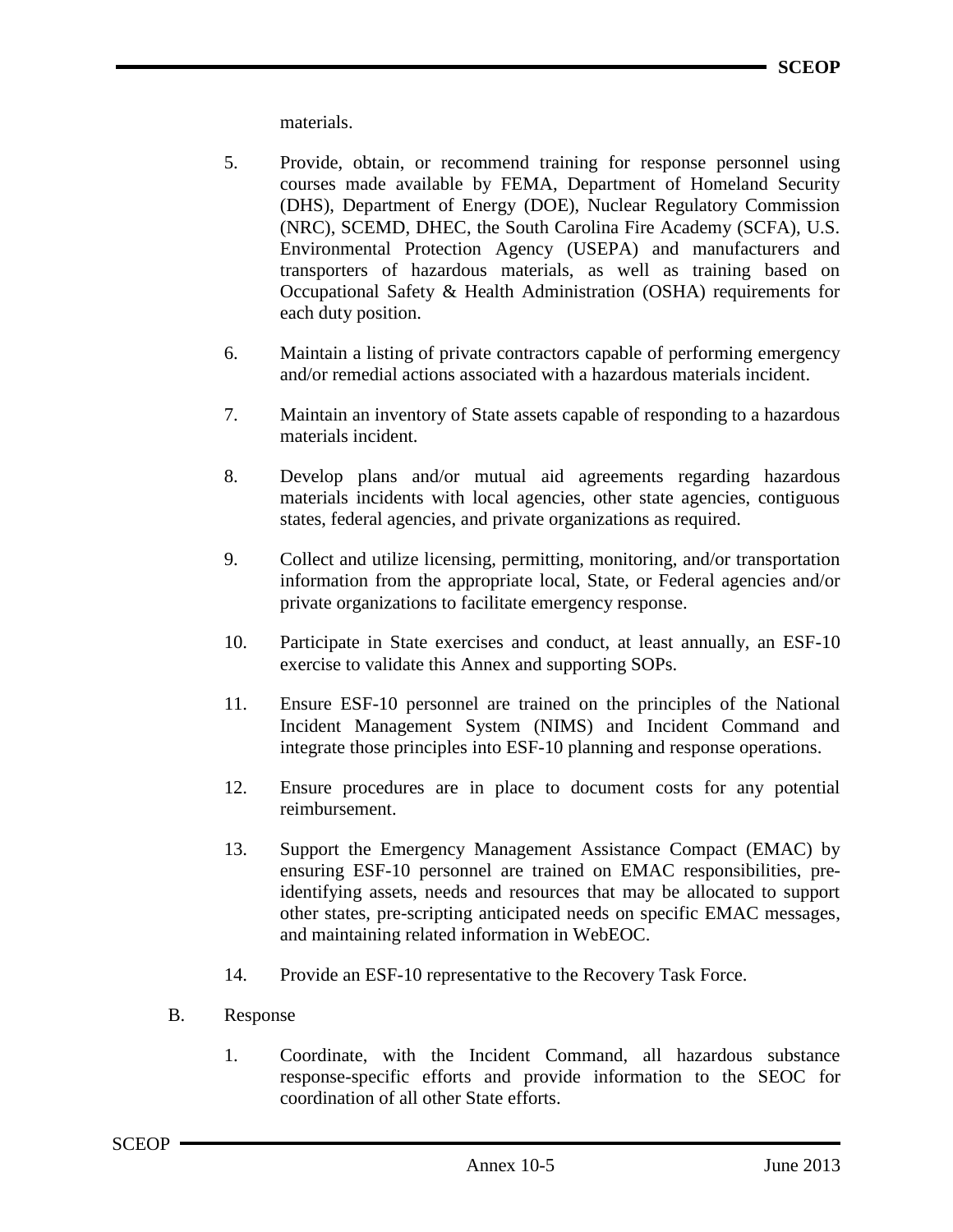materials.

- 5. Provide, obtain, or recommend training for response personnel using courses made available by FEMA, Department of Homeland Security (DHS), Department of Energy (DOE), Nuclear Regulatory Commission (NRC), SCEMD, DHEC, the South Carolina Fire Academy (SCFA), U.S. Environmental Protection Agency (USEPA) and manufacturers and transporters of hazardous materials, as well as training based on Occupational Safety & Health Administration (OSHA) requirements for each duty position.
- 6. Maintain a listing of private contractors capable of performing emergency and/or remedial actions associated with a hazardous materials incident.
- 7. Maintain an inventory of State assets capable of responding to a hazardous materials incident.
- 8. Develop plans and/or mutual aid agreements regarding hazardous materials incidents with local agencies, other state agencies, contiguous states, federal agencies, and private organizations as required.
- 9. Collect and utilize licensing, permitting, monitoring, and/or transportation information from the appropriate local, State, or Federal agencies and/or private organizations to facilitate emergency response.
- 10. Participate in State exercises and conduct, at least annually, an ESF-10 exercise to validate this Annex and supporting SOPs.
- 11. Ensure ESF-10 personnel are trained on the principles of the National Incident Management System (NIMS) and Incident Command and integrate those principles into ESF-10 planning and response operations.
- 12. Ensure procedures are in place to document costs for any potential reimbursement.
- 13. Support the Emergency Management Assistance Compact (EMAC) by ensuring ESF-10 personnel are trained on EMAC responsibilities, preidentifying assets, needs and resources that may be allocated to support other states, pre-scripting anticipated needs on specific EMAC messages, and maintaining related information in WebEOC.
- 14. Provide an ESF-10 representative to the Recovery Task Force.
- B. Response
	- 1. Coordinate, with the Incident Command, all hazardous substance response-specific efforts and provide information to the SEOC for coordination of all other State efforts.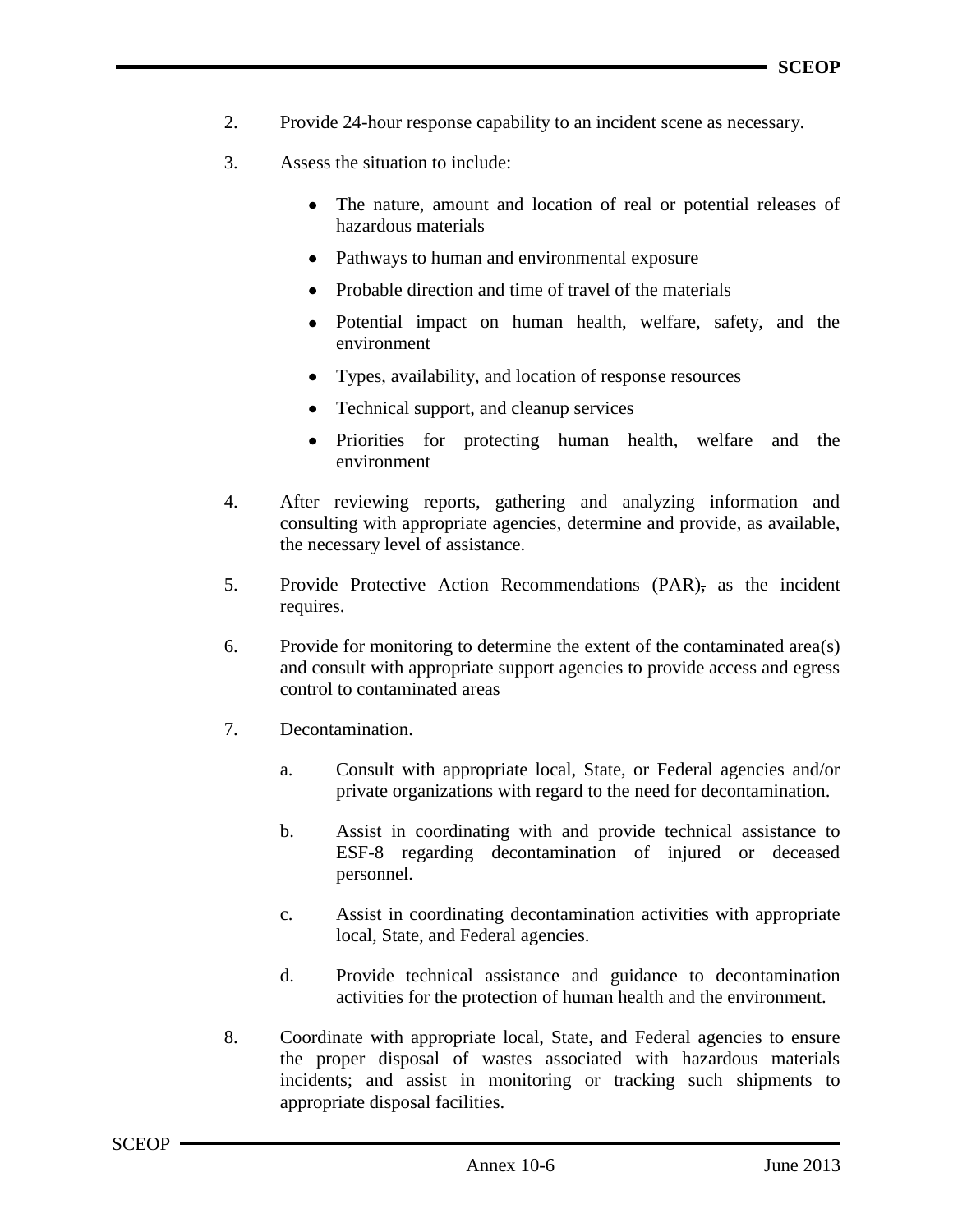- 2. Provide 24-hour response capability to an incident scene as necessary.
- 3. Assess the situation to include:
	- The nature, amount and location of real or potential releases of hazardous materials
	- Pathways to human and environmental exposure
	- Probable direction and time of travel of the materials
	- Potential impact on human health, welfare, safety, and the environment
	- Types, availability, and location of response resources
	- Technical support, and cleanup services
	- Priorities for protecting human health, welfare and the  $\bullet$ environment
- 4. After reviewing reports, gathering and analyzing information and consulting with appropriate agencies, determine and provide, as available, the necessary level of assistance.
- 5. Provide Protective Action Recommendations (PAR), as the incident requires.
- 6. Provide for monitoring to determine the extent of the contaminated area(s) and consult with appropriate support agencies to provide access and egress control to contaminated areas
- 7. Decontamination.
	- a. Consult with appropriate local, State, or Federal agencies and/or private organizations with regard to the need for decontamination.
	- b. Assist in coordinating with and provide technical assistance to ESF-8 regarding decontamination of injured or deceased personnel.
	- c. Assist in coordinating decontamination activities with appropriate local, State, and Federal agencies.
	- d. Provide technical assistance and guidance to decontamination activities for the protection of human health and the environment.
- 8. Coordinate with appropriate local, State, and Federal agencies to ensure the proper disposal of wastes associated with hazardous materials incidents; and assist in monitoring or tracking such shipments to appropriate disposal facilities.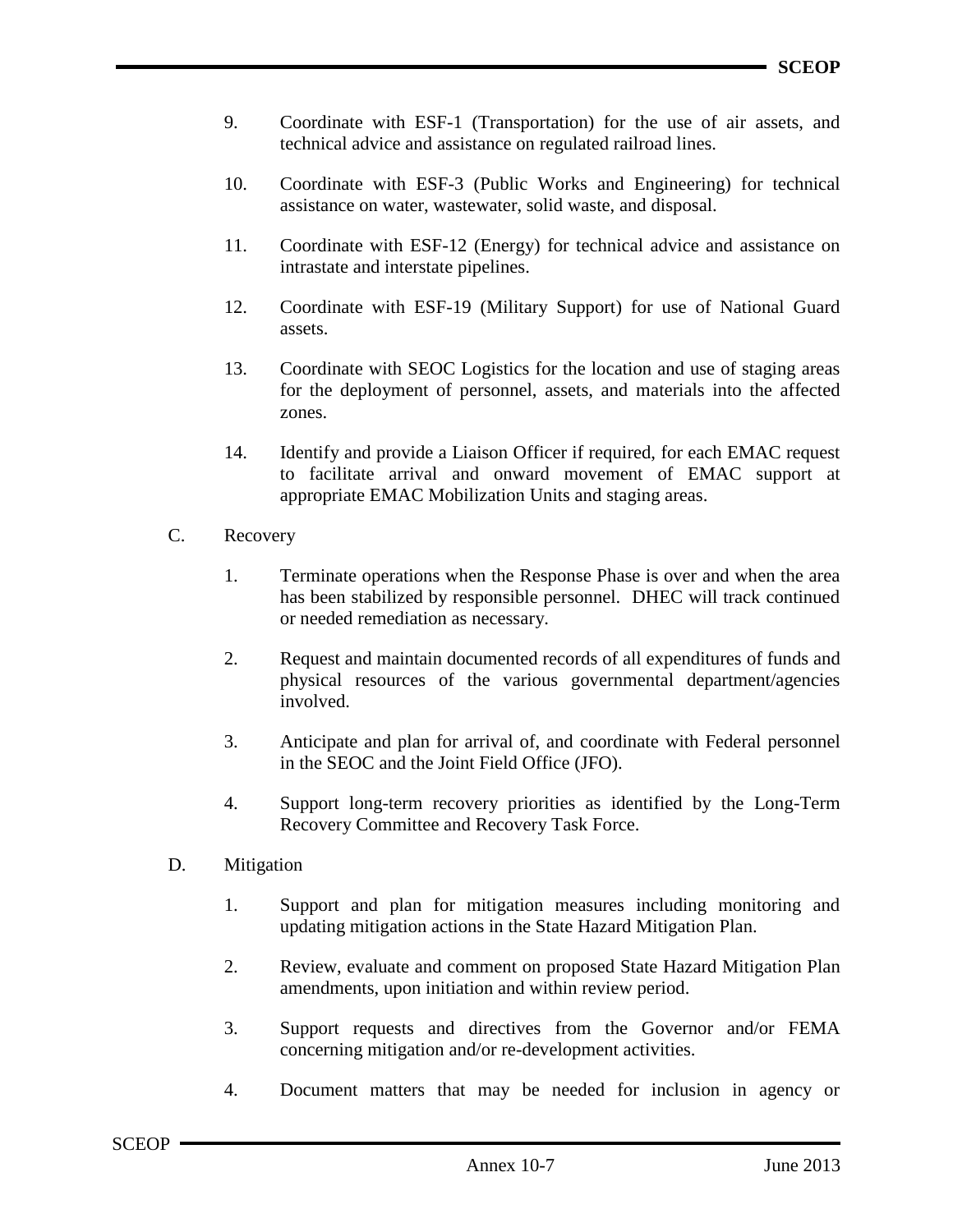- 9. Coordinate with ESF-1 (Transportation) for the use of air assets, and technical advice and assistance on regulated railroad lines.
- 10. Coordinate with ESF-3 (Public Works and Engineering) for technical assistance on water, wastewater, solid waste, and disposal.
- 11. Coordinate with ESF-12 (Energy) for technical advice and assistance on intrastate and interstate pipelines.
- 12. Coordinate with ESF-19 (Military Support) for use of National Guard assets.
- 13. Coordinate with SEOC Logistics for the location and use of staging areas for the deployment of personnel, assets, and materials into the affected zones.
- 14. Identify and provide a Liaison Officer if required, for each EMAC request to facilitate arrival and onward movement of EMAC support at appropriate EMAC Mobilization Units and staging areas.
- C. Recovery
	- 1. Terminate operations when the Response Phase is over and when the area has been stabilized by responsible personnel. DHEC will track continued or needed remediation as necessary.
	- 2. Request and maintain documented records of all expenditures of funds and physical resources of the various governmental department/agencies involved.
	- 3. Anticipate and plan for arrival of, and coordinate with Federal personnel in the SEOC and the Joint Field Office (JFO).
	- 4. Support long-term recovery priorities as identified by the Long-Term Recovery Committee and Recovery Task Force.
- D. Mitigation
	- 1. Support and plan for mitigation measures including monitoring and updating mitigation actions in the State Hazard Mitigation Plan.
	- 2. Review, evaluate and comment on proposed State Hazard Mitigation Plan amendments, upon initiation and within review period.
	- 3. Support requests and directives from the Governor and/or FEMA concerning mitigation and/or re-development activities.
	- 4. Document matters that may be needed for inclusion in agency or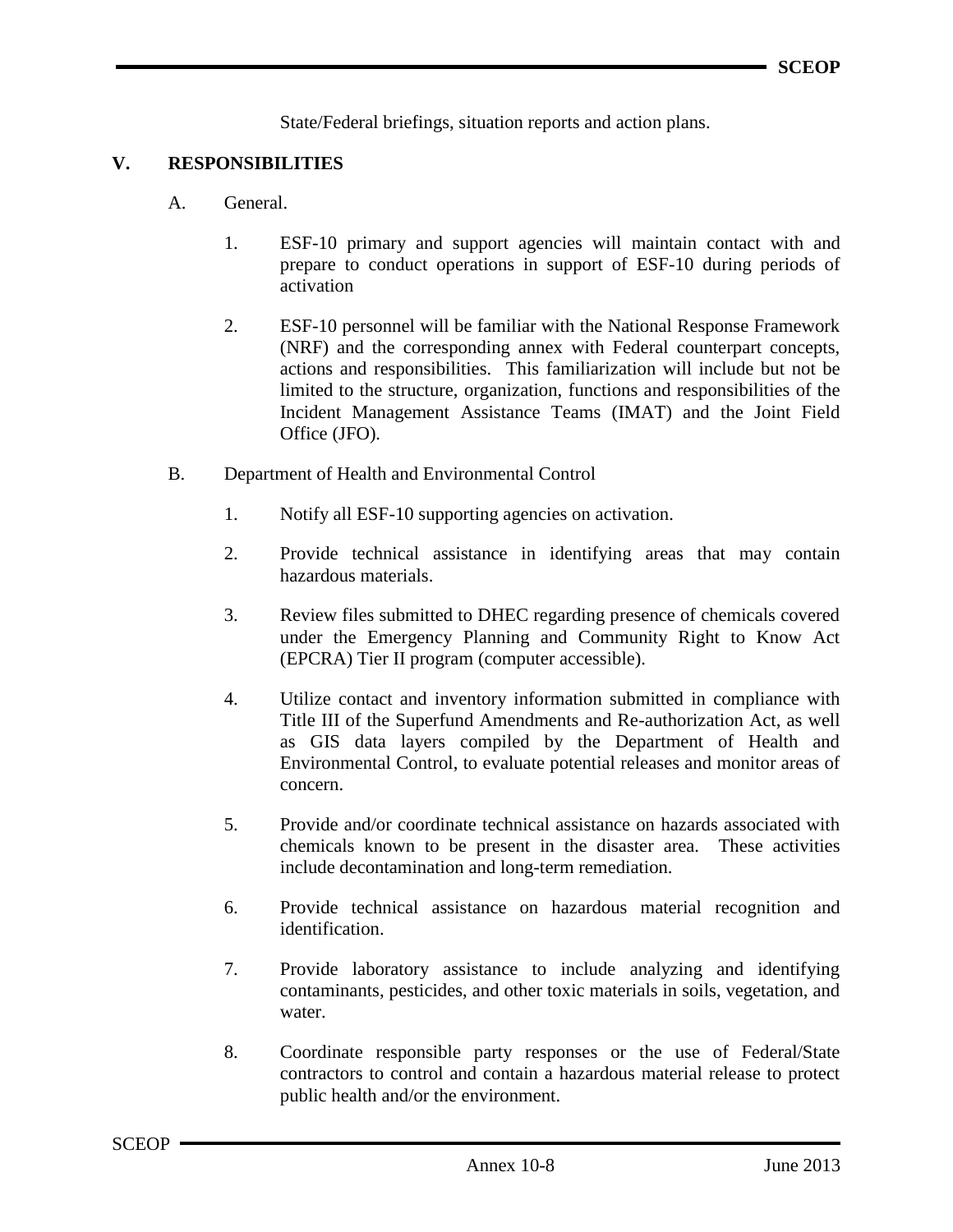State/Federal briefings, situation reports and action plans.

### **V. RESPONSIBILITIES**

- A. General.
	- 1. ESF-10 primary and support agencies will maintain contact with and prepare to conduct operations in support of ESF-10 during periods of activation
	- 2. ESF-10 personnel will be familiar with the National Response Framework (NRF) and the corresponding annex with Federal counterpart concepts, actions and responsibilities. This familiarization will include but not be limited to the structure, organization, functions and responsibilities of the Incident Management Assistance Teams (IMAT) and the Joint Field Office (JFO).
- B. Department of Health and Environmental Control
	- 1. Notify all ESF-10 supporting agencies on activation.
	- 2. Provide technical assistance in identifying areas that may contain hazardous materials.
	- 3. Review files submitted to DHEC regarding presence of chemicals covered under the Emergency Planning and Community Right to Know Act (EPCRA) Tier II program (computer accessible).
	- 4. Utilize contact and inventory information submitted in compliance with Title III of the Superfund Amendments and Re-authorization Act, as well as GIS data layers compiled by the Department of Health and Environmental Control, to evaluate potential releases and monitor areas of concern.
	- 5. Provide and/or coordinate technical assistance on hazards associated with chemicals known to be present in the disaster area. These activities include decontamination and long-term remediation.
	- 6. Provide technical assistance on hazardous material recognition and identification.
	- 7. Provide laboratory assistance to include analyzing and identifying contaminants, pesticides, and other toxic materials in soils, vegetation, and water.
	- 8. Coordinate responsible party responses or the use of Federal/State contractors to control and contain a hazardous material release to protect public health and/or the environment.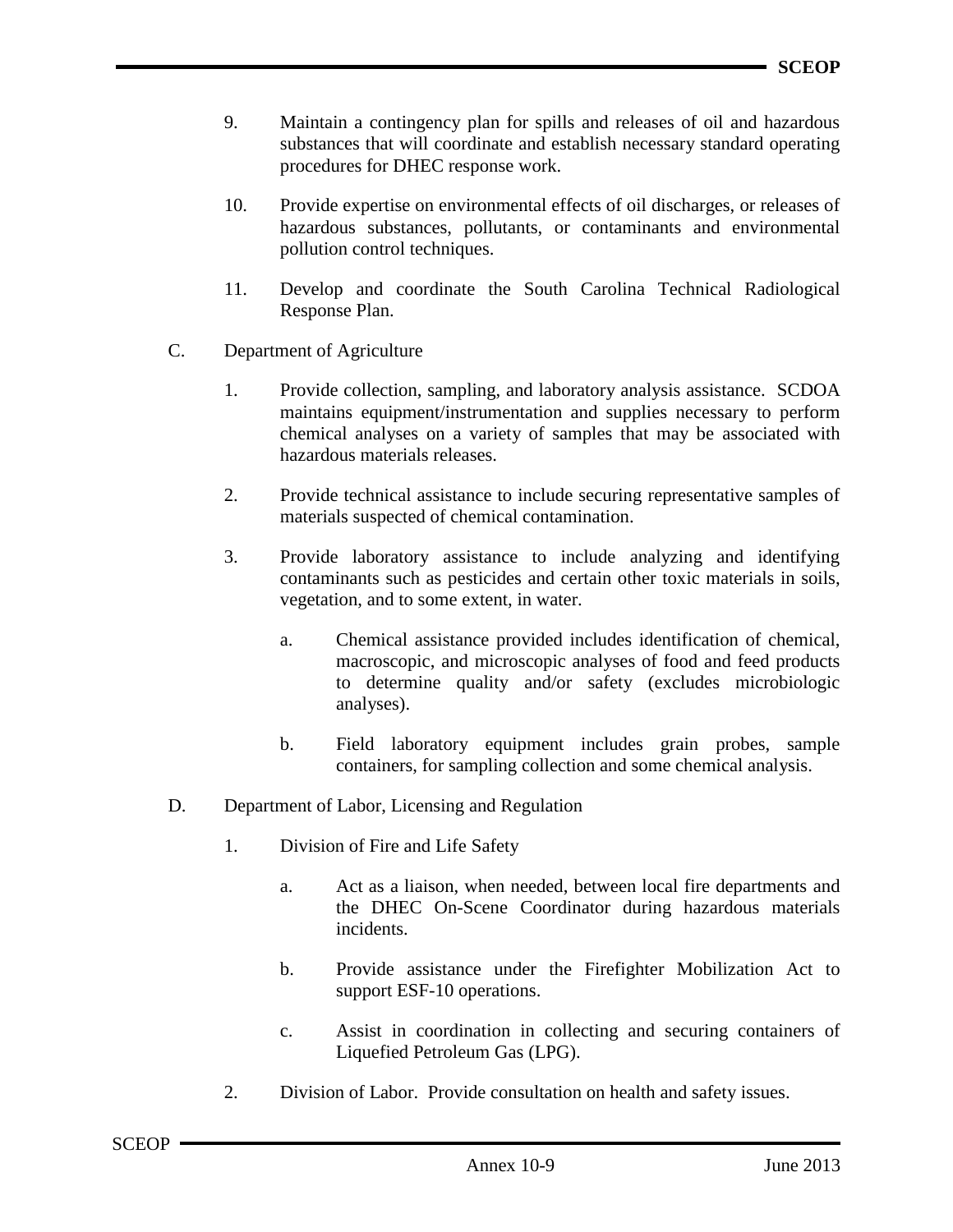- 9. Maintain a contingency plan for spills and releases of oil and hazardous substances that will coordinate and establish necessary standard operating procedures for DHEC response work.
- 10. Provide expertise on environmental effects of oil discharges, or releases of hazardous substances, pollutants, or contaminants and environmental pollution control techniques.
- 11. Develop and coordinate the South Carolina Technical Radiological Response Plan.
- C. Department of Agriculture
	- 1. Provide collection, sampling, and laboratory analysis assistance. SCDOA maintains equipment/instrumentation and supplies necessary to perform chemical analyses on a variety of samples that may be associated with hazardous materials releases.
	- 2. Provide technical assistance to include securing representative samples of materials suspected of chemical contamination.
	- 3. Provide laboratory assistance to include analyzing and identifying contaminants such as pesticides and certain other toxic materials in soils, vegetation, and to some extent, in water.
		- a. Chemical assistance provided includes identification of chemical, macroscopic, and microscopic analyses of food and feed products to determine quality and/or safety (excludes microbiologic analyses).
		- b. Field laboratory equipment includes grain probes, sample containers, for sampling collection and some chemical analysis.
- D. Department of Labor, Licensing and Regulation
	- 1. Division of Fire and Life Safety
		- a. Act as a liaison, when needed, between local fire departments and the DHEC On-Scene Coordinator during hazardous materials incidents.
		- b. Provide assistance under the Firefighter Mobilization Act to support ESF-10 operations.
		- c. Assist in coordination in collecting and securing containers of Liquefied Petroleum Gas (LPG).
	- 2. Division of Labor. Provide consultation on health and safety issues.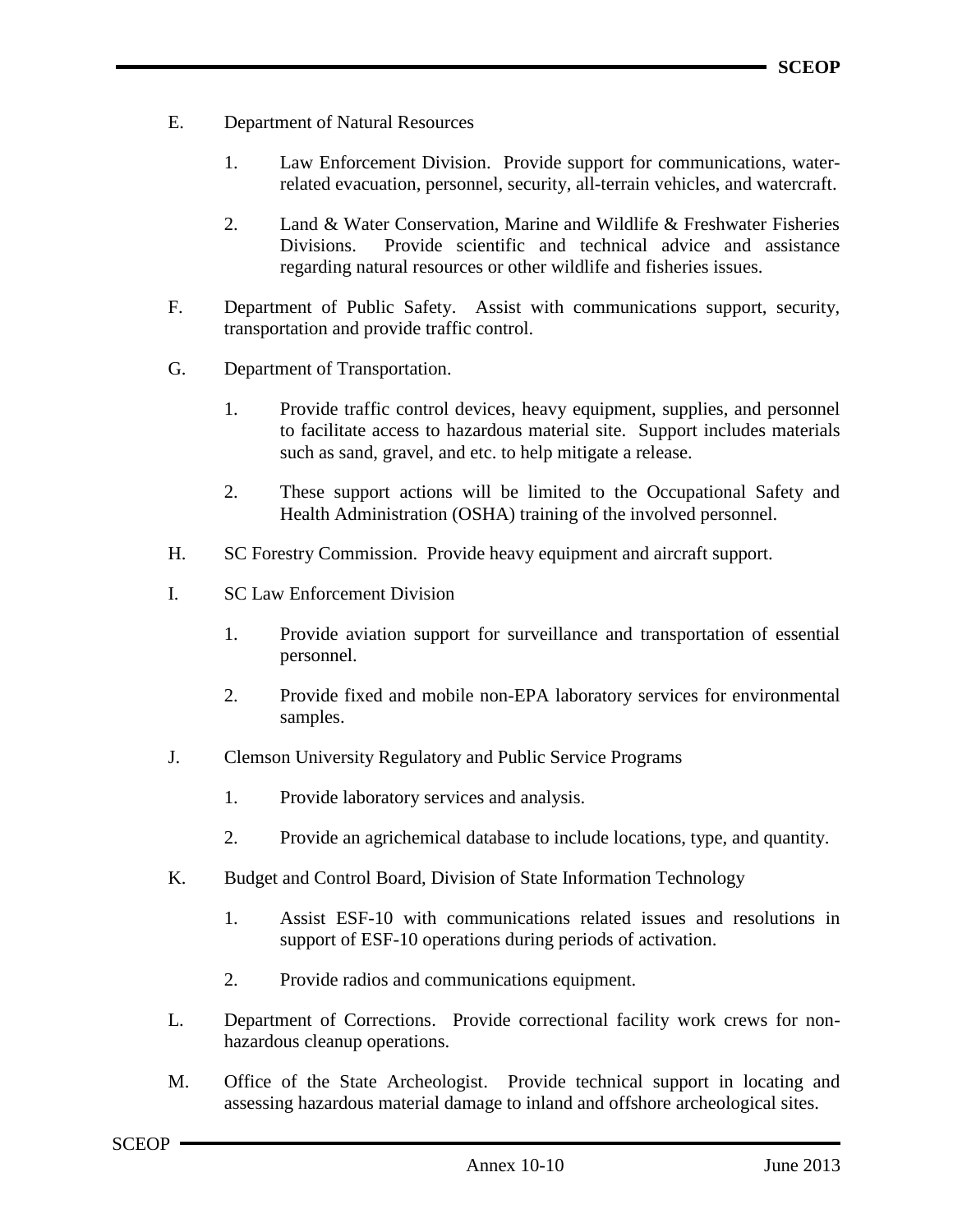- E. Department of Natural Resources
	- 1. Law Enforcement Division. Provide support for communications, waterrelated evacuation, personnel, security, all-terrain vehicles, and watercraft.
	- 2. Land & Water Conservation, Marine and Wildlife & Freshwater Fisheries Divisions. Provide scientific and technical advice and assistance regarding natural resources or other wildlife and fisheries issues.
- F. Department of Public Safety. Assist with communications support, security, transportation and provide traffic control.
- G. Department of Transportation.
	- 1. Provide traffic control devices, heavy equipment, supplies, and personnel to facilitate access to hazardous material site. Support includes materials such as sand, gravel, and etc. to help mitigate a release.
	- 2. These support actions will be limited to the Occupational Safety and Health Administration (OSHA) training of the involved personnel.
- H. SC Forestry Commission. Provide heavy equipment and aircraft support.
- I. SC Law Enforcement Division
	- 1. Provide aviation support for surveillance and transportation of essential personnel.
	- 2. Provide fixed and mobile non-EPA laboratory services for environmental samples.
- J. Clemson University Regulatory and Public Service Programs
	- 1. Provide laboratory services and analysis.
	- 2. Provide an agrichemical database to include locations, type, and quantity.
- K. Budget and Control Board, Division of State Information Technology
	- 1. Assist ESF-10 with communications related issues and resolutions in support of ESF-10 operations during periods of activation.
	- 2. Provide radios and communications equipment.
- L. Department of Corrections. Provide correctional facility work crews for nonhazardous cleanup operations.
- M. Office of the State Archeologist. Provide technical support in locating and assessing hazardous material damage to inland and offshore archeological sites.